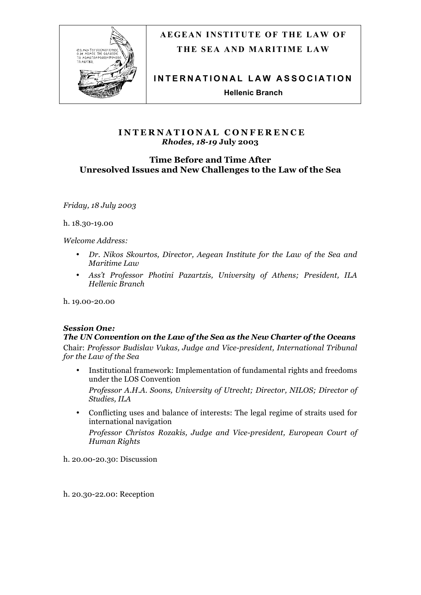

# **AEGEAN INSTITUTE OF THE LAW OF THE SEA AND MARITIME LAW**

**INTERNATIONAL LAW AS SOCIATION**

**Hellenic Branch**

# **INTERNATIONAL CONFERENCE** *Rhodes, 18-19* **July 2003**

# **Time Before and Time After Unresolved Issues and New Challenges to the Law of the Sea**

*Friday, 18 July 2003* 

h. 18.30-19.00

*Welcome Address:*

- *Dr. Nikos Skourtos, Director, Aegean Institute for the Law of the Sea and Maritime Law*
- *Ass't Professor Photini Pazartzis, University of Athens; President, ILA Hellenic Branch*

h. 19.00-20.00

# *Session One:*

# *The UN Convention on the Law of the Sea as the New Charter of the Oceans*

Chair: *Professor Budislav Vukas, Judge and Vice-president, International Tribunal for the Law of the Sea*

- Institutional framework: Implementation of fundamental rights and freedoms under the LOS Convention *Professor A.H.A. Soons, University of Utrecht; Director, NILOS; Director of Studies, ILA*
- Conflicting uses and balance of interests: The legal regime of straits used for international navigation *Professor Christos Rozakis, Judge and Vice-president, European Court of Human Rights*

h. 20.00-20.30: Discussion

h. 20.30-22.00: Reception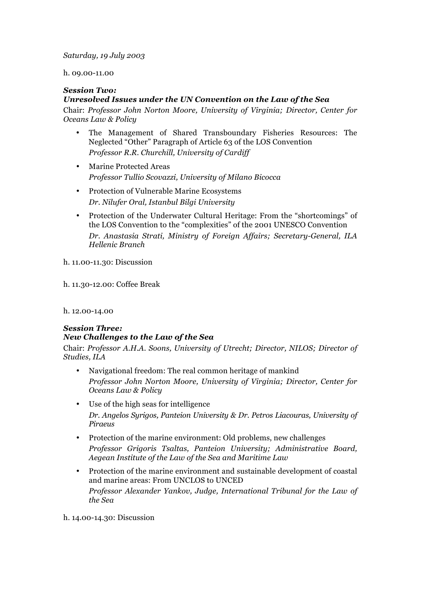#### *Saturday, 19 July 2003*

#### h. 09.00-11.00

#### *Session Two:*

## *Unresolved Issues under the UN Convention on the Law of the Sea*

Chair: *Professor John Norton Moore, University of Virginia; Director, Center for Oceans Law & Policy*

- The Management of Shared Transboundary Fisheries Resources: The Neglected "Other" Paragraph of Article 63 of the LOS Convention *Professor R.R. Churchill, University of Cardiff*
- Marine Protected Areas *Professor Tullio Scovazzi, University of Milano Bicocca*
- Protection of Vulnerable Marine Ecosystems *Dr. Nilufer Oral, Istanbul Bilgi University*
- Protection of the Underwater Cultural Heritage: From the "shortcomings" of the LOS Convention to the "complexities" of the 2001 UNESCO Convention *Dr. Anastasia Strati, Ministry of Foreign Affairs; Secretary-General, ILA Hellenic Branch*

h. 11.00-11.30: Discussion

h. 11.30-12.00: Coffee Break

h. 12.00-14.00

# *Session Three: New Challenges to the Law of the Sea*

Chair: *Professor A.H.A. Soons, University of Utrecht; Director, NILOS; Director of Studies, ILA*

- Navigational freedom: The real common heritage of mankind *Professor John Norton Moore, University of Virginia; Director, Center for Oceans Law & Policy*
- Use of the high seas for intelligence *Dr. Angelos Syrigos, Panteion University & Dr. Petros Liacouras, University of Piraeus*
- Protection of the marine environment: Old problems, new challenges *Professor Grigoris Tsaltas, Panteion University; Administrative Board, Aegean Institute of the Law of the Sea and Maritime Law*
- Protection of the marine environment and sustainable development of coastal and marine areas: From UNCLOS to UNCED *Professor Alexander Yankov, Judge, International Tribunal for the Law of the Sea*

h. 14.00-14.30: Discussion